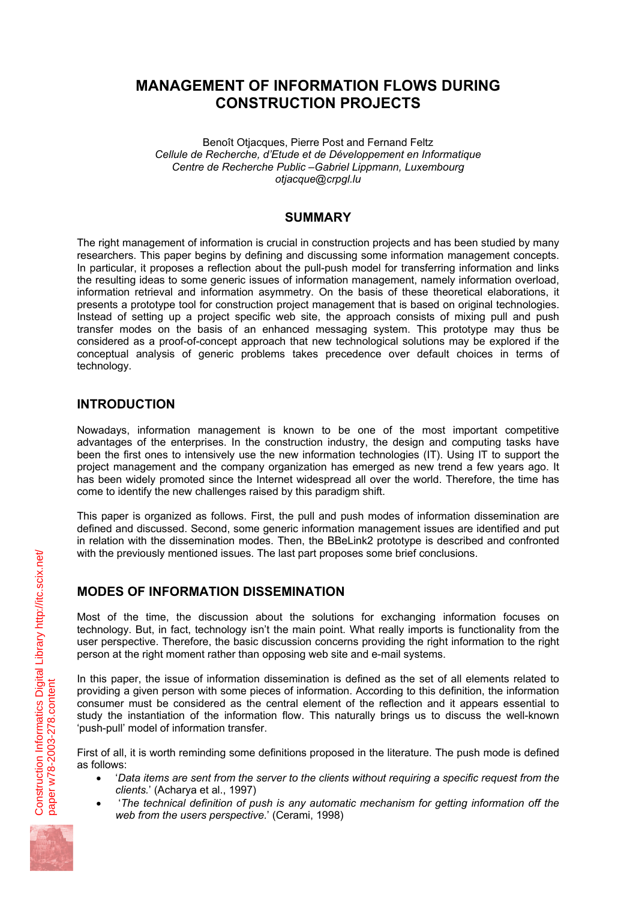# **MANAGEMENT OF INFORMATION FLOWS DURING CONSTRUCTION PROJECTS**

Benoît Otjacques, Pierre Post and Fernand Feltz *Cellule de Recherche, d'Etude et de Développement en Informatique Centre de Recherche Public –Gabriel Lippmann, Luxembourg otjacque@crpgl.lu* 

### **SUMMARY**

The right management of information is crucial in construction projects and has been studied by many researchers. This paper begins by defining and discussing some information management concepts. In particular, it proposes a reflection about the pull-push model for transferring information and links the resulting ideas to some generic issues of information management, namely information overload, information retrieval and information asymmetry. On the basis of these theoretical elaborations, it presents a prototype tool for construction project management that is based on original technologies. Instead of setting up a project specific web site, the approach consists of mixing pull and push transfer modes on the basis of an enhanced messaging system. This prototype may thus be considered as a proof-of-concept approach that new technological solutions may be explored if the conceptual analysis of generic problems takes precedence over default choices in terms of technology.

# **INTRODUCTION**

Nowadays, information management is known to be one of the most important competitive advantages of the enterprises. In the construction industry, the design and computing tasks have been the first ones to intensively use the new information technologies (IT). Using IT to support the project management and the company organization has emerged as new trend a few years ago. It has been widely promoted since the Internet widespread all over the world. Therefore, the time has come to identify the new challenges raised by this paradigm shift.

This paper is organized as follows. First, the pull and push modes of information dissemination are defined and discussed. Second, some generic information management issues are identified and put in relation with the dissemination modes. Then, the BBeLink2 prototype is described and confronted with the previously mentioned issues. The last part proposes some brief conclusions.

# **MODES OF INFORMATION DISSEMINATION**

Most of the time, the discussion about the solutions for exchanging information focuses on technology. But, in fact, technology isn't the main point. What really imports is functionality from the user perspective. Therefore, the basic discussion concerns providing the right information to the right person at the right moment rather than opposing web site and e-mail systems.

In this paper, the issue of information dissemination is defined as the set of all elements related to providing a given person with some pieces of information. According to this definition, the information consumer must be considered as the central element of the reflection and it appears essential to study the instantiation of the information flow. This naturally brings us to discuss the well-known 'push-pull' model of information transfer.

First of all, it is worth reminding some definitions proposed in the literature. The push mode is defined as follows:

- '*Data items are sent from the server to the clients without requiring a specific request from the clients.*' (Acharya et al., 1997)
- '*The technical definition of push is any automatic mechanism for getting information off the web from the users perspective.*' (Cerami, 1998)

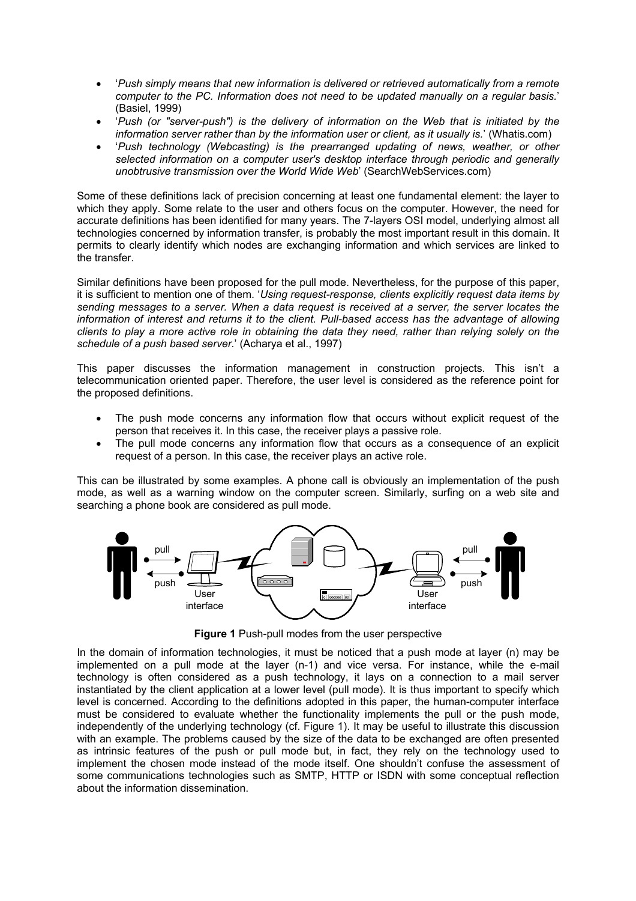- '*Push simply means that new information is delivered or retrieved automatically from a remote computer to the PC. Information does not need to be updated manually on a regular basis.*' (Basiel, 1999)
- '*Push (or "server-push") is the delivery of information on the Web that is initiated by the information server rather than by the information user or client, as it usually is.*' (Whatis.com)
- '*Push technology (Webcasting) is the prearranged updating of news, weather, or other selected information on a computer user's desktop interface through periodic and generally unobtrusive transmission over the World Wide Web*' (SearchWebServices.com)

Some of these definitions lack of precision concerning at least one fundamental element: the layer to which they apply. Some relate to the user and others focus on the computer. However, the need for accurate definitions has been identified for many years. The 7-layers OSI model, underlying almost all technologies concerned by information transfer, is probably the most important result in this domain. It permits to clearly identify which nodes are exchanging information and which services are linked to the transfer.

Similar definitions have been proposed for the pull mode. Nevertheless, for the purpose of this paper, it is sufficient to mention one of them. '*Using request-response, clients explicitly request data items by sending messages to a server. When a data request is received at a server, the server locates the information of interest and returns it to the client. Pull-based access has the advantage of allowing clients to play a more active role in obtaining the data they need, rather than relying solely on the schedule of a push based server.*' (Acharya et al., 1997)

This paper discusses the information management in construction projects. This isn't a telecommunication oriented paper. Therefore, the user level is considered as the reference point for the proposed definitions.

- The push mode concerns any information flow that occurs without explicit request of the person that receives it. In this case, the receiver plays a passive role.
- The pull mode concerns any information flow that occurs as a consequence of an explicit request of a person. In this case, the receiver plays an active role.

This can be illustrated by some examples. A phone call is obviously an implementation of the push mode, as well as a warning window on the computer screen. Similarly, surfing on a web site and searching a phone book are considered as pull mode.



**Figure 1** Push-pull modes from the user perspective

In the domain of information technologies, it must be noticed that a push mode at layer (n) may be implemented on a pull mode at the layer (n-1) and vice versa. For instance, while the e-mail technology is often considered as a push technology, it lays on a connection to a mail server instantiated by the client application at a lower level (pull mode). It is thus important to specify which level is concerned. According to the definitions adopted in this paper, the human-computer interface must be considered to evaluate whether the functionality implements the pull or the push mode, independently of the underlying technology (cf. Figure 1). It may be useful to illustrate this discussion with an example. The problems caused by the size of the data to be exchanged are often presented as intrinsic features of the push or pull mode but, in fact, they rely on the technology used to implement the chosen mode instead of the mode itself. One shouldn't confuse the assessment of some communications technologies such as SMTP, HTTP or ISDN with some conceptual reflection about the information dissemination.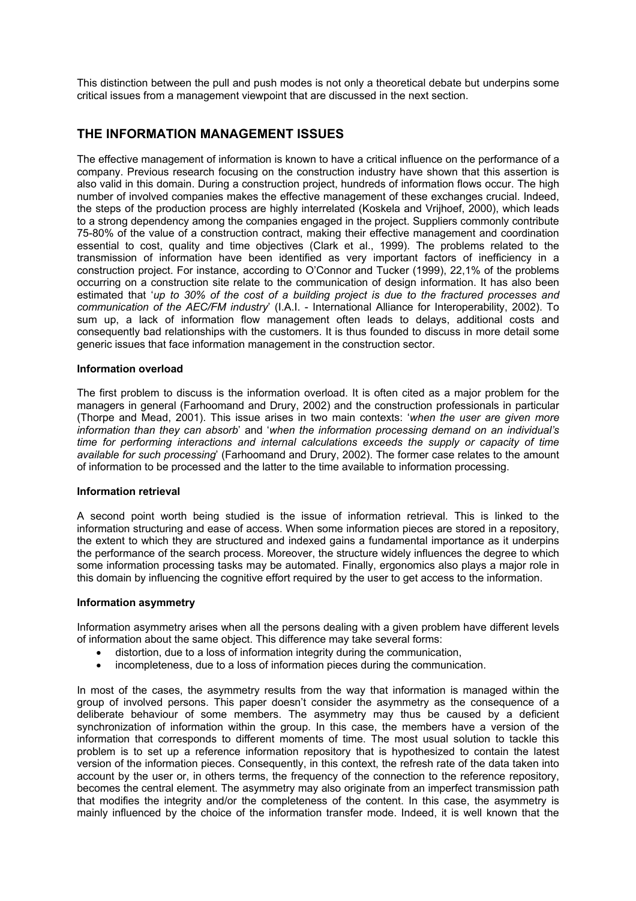This distinction between the pull and push modes is not only a theoretical debate but underpins some critical issues from a management viewpoint that are discussed in the next section.

## **THE INFORMATION MANAGEMENT ISSUES**

The effective management of information is known to have a critical influence on the performance of a company. Previous research focusing on the construction industry have shown that this assertion is also valid in this domain. During a construction project, hundreds of information flows occur. The high number of involved companies makes the effective management of these exchanges crucial. Indeed, the steps of the production process are highly interrelated (Koskela and Vrijhoef, 2000), which leads to a strong dependency among the companies engaged in the project. Suppliers commonly contribute 75-80% of the value of a construction contract, making their effective management and coordination essential to cost, quality and time objectives (Clark et al., 1999). The problems related to the transmission of information have been identified as very important factors of inefficiency in a construction project. For instance, according to O'Connor and Tucker (1999), 22,1% of the problems occurring on a construction site relate to the communication of design information. It has also been estimated that '*up to 30% of the cost of a building project is due to the fractured processes and communication of the AEC/FM industry*' (I.A.I. - International Alliance for Interoperability, 2002). To sum up, a lack of information flow management often leads to delays, additional costs and consequently bad relationships with the customers. It is thus founded to discuss in more detail some generic issues that face information management in the construction sector.

#### **Information overload**

The first problem to discuss is the information overload. It is often cited as a major problem for the managers in general (Farhoomand and Drury, 2002) and the construction professionals in particular (Thorpe and Mead, 2001). This issue arises in two main contexts: '*when the user are given more information than they can absorb*' and '*when the information processing demand on an individual's time for performing interactions and internal calculations exceeds the supply or capacity of time available for such processing*' (Farhoomand and Drury, 2002). The former case relates to the amount of information to be processed and the latter to the time available to information processing.

#### **Information retrieval**

A second point worth being studied is the issue of information retrieval. This is linked to the information structuring and ease of access. When some information pieces are stored in a repository, the extent to which they are structured and indexed gains a fundamental importance as it underpins the performance of the search process. Moreover, the structure widely influences the degree to which some information processing tasks may be automated. Finally, ergonomics also plays a major role in this domain by influencing the cognitive effort required by the user to get access to the information.

#### **Information asymmetry**

Information asymmetry arises when all the persons dealing with a given problem have different levels of information about the same object. This difference may take several forms:

- distortion, due to a loss of information integrity during the communication,
- incompleteness, due to a loss of information pieces during the communication.

In most of the cases, the asymmetry results from the way that information is managed within the group of involved persons. This paper doesn't consider the asymmetry as the consequence of a deliberate behaviour of some members. The asymmetry may thus be caused by a deficient synchronization of information within the group. In this case, the members have a version of the information that corresponds to different moments of time. The most usual solution to tackle this problem is to set up a reference information repository that is hypothesized to contain the latest version of the information pieces. Consequently, in this context, the refresh rate of the data taken into account by the user or, in others terms, the frequency of the connection to the reference repository, becomes the central element. The asymmetry may also originate from an imperfect transmission path that modifies the integrity and/or the completeness of the content. In this case, the asymmetry is mainly influenced by the choice of the information transfer mode. Indeed, it is well known that the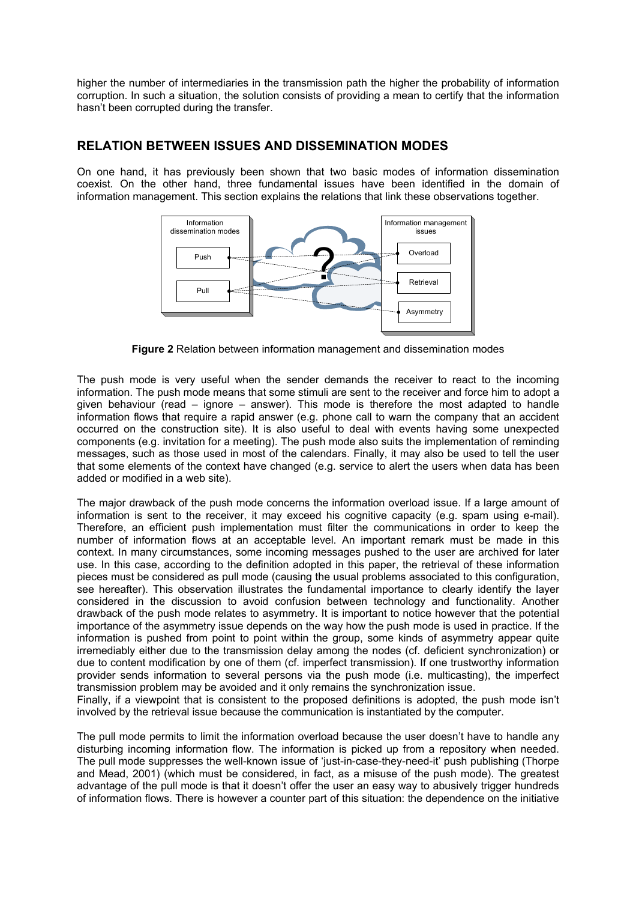higher the number of intermediaries in the transmission path the higher the probability of information corruption. In such a situation, the solution consists of providing a mean to certify that the information hasn't been corrupted during the transfer.

### **RELATION BETWEEN ISSUES AND DISSEMINATION MODES**

On one hand, it has previously been shown that two basic modes of information dissemination coexist. On the other hand, three fundamental issues have been identified in the domain of information management. This section explains the relations that link these observations together.



**Figure 2** Relation between information management and dissemination modes

The push mode is very useful when the sender demands the receiver to react to the incoming information. The push mode means that some stimuli are sent to the receiver and force him to adopt a given behaviour (read – ignore – answer). This mode is therefore the most adapted to handle information flows that require a rapid answer (e.g. phone call to warn the company that an accident occurred on the construction site). It is also useful to deal with events having some unexpected components (e.g. invitation for a meeting). The push mode also suits the implementation of reminding messages, such as those used in most of the calendars. Finally, it may also be used to tell the user that some elements of the context have changed (e.g. service to alert the users when data has been added or modified in a web site).

The major drawback of the push mode concerns the information overload issue. If a large amount of information is sent to the receiver, it may exceed his cognitive capacity (e.g. spam using e-mail). Therefore, an efficient push implementation must filter the communications in order to keep the number of information flows at an acceptable level. An important remark must be made in this context. In many circumstances, some incoming messages pushed to the user are archived for later use. In this case, according to the definition adopted in this paper, the retrieval of these information pieces must be considered as pull mode (causing the usual problems associated to this configuration, see hereafter). This observation illustrates the fundamental importance to clearly identify the layer considered in the discussion to avoid confusion between technology and functionality. Another drawback of the push mode relates to asymmetry. It is important to notice however that the potential importance of the asymmetry issue depends on the way how the push mode is used in practice. If the information is pushed from point to point within the group, some kinds of asymmetry appear quite irremediably either due to the transmission delay among the nodes (cf. deficient synchronization) or due to content modification by one of them (cf. imperfect transmission). If one trustworthy information provider sends information to several persons via the push mode (i.e. multicasting), the imperfect transmission problem may be avoided and it only remains the synchronization issue.

Finally, if a viewpoint that is consistent to the proposed definitions is adopted, the push mode isn't involved by the retrieval issue because the communication is instantiated by the computer.

The pull mode permits to limit the information overload because the user doesn't have to handle any disturbing incoming information flow. The information is picked up from a repository when needed. The pull mode suppresses the well-known issue of 'just-in-case-they-need-it' push publishing (Thorpe and Mead, 2001) (which must be considered, in fact, as a misuse of the push mode). The greatest advantage of the pull mode is that it doesn't offer the user an easy way to abusively trigger hundreds of information flows. There is however a counter part of this situation: the dependence on the initiative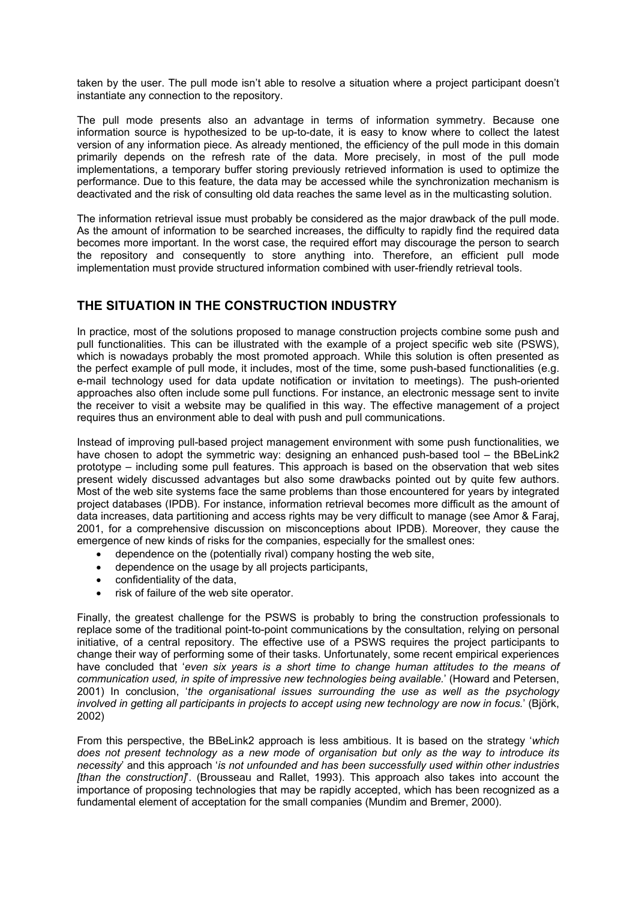taken by the user. The pull mode isn't able to resolve a situation where a project participant doesn't instantiate any connection to the repository.

The pull mode presents also an advantage in terms of information symmetry. Because one information source is hypothesized to be up-to-date, it is easy to know where to collect the latest version of any information piece. As already mentioned, the efficiency of the pull mode in this domain primarily depends on the refresh rate of the data. More precisely, in most of the pull mode implementations, a temporary buffer storing previously retrieved information is used to optimize the performance. Due to this feature, the data may be accessed while the synchronization mechanism is deactivated and the risk of consulting old data reaches the same level as in the multicasting solution.

The information retrieval issue must probably be considered as the major drawback of the pull mode. As the amount of information to be searched increases, the difficulty to rapidly find the required data becomes more important. In the worst case, the required effort may discourage the person to search the repository and consequently to store anything into. Therefore, an efficient pull mode implementation must provide structured information combined with user-friendly retrieval tools.

### **THE SITUATION IN THE CONSTRUCTION INDUSTRY**

In practice, most of the solutions proposed to manage construction projects combine some push and pull functionalities. This can be illustrated with the example of a project specific web site (PSWS), which is nowadays probably the most promoted approach. While this solution is often presented as the perfect example of pull mode, it includes, most of the time, some push-based functionalities (e.g. e-mail technology used for data update notification or invitation to meetings). The push-oriented approaches also often include some pull functions. For instance, an electronic message sent to invite the receiver to visit a website may be qualified in this way. The effective management of a project requires thus an environment able to deal with push and pull communications.

Instead of improving pull-based project management environment with some push functionalities, we have chosen to adopt the symmetric way: designing an enhanced push-based tool – the BBeLink2 prototype – including some pull features. This approach is based on the observation that web sites present widely discussed advantages but also some drawbacks pointed out by quite few authors. Most of the web site systems face the same problems than those encountered for years by integrated project databases (IPDB). For instance, information retrieval becomes more difficult as the amount of data increases, data partitioning and access rights may be very difficult to manage (see Amor & Faraj, 2001, for a comprehensive discussion on misconceptions about IPDB). Moreover, they cause the emergence of new kinds of risks for the companies, especially for the smallest ones:

- dependence on the (potentially rival) company hosting the web site,
- dependence on the usage by all projects participants,
- confidentiality of the data,
- risk of failure of the web site operator.

Finally, the greatest challenge for the PSWS is probably to bring the construction professionals to replace some of the traditional point-to-point communications by the consultation, relying on personal initiative, of a central repository. The effective use of a PSWS requires the project participants to change their way of performing some of their tasks. Unfortunately, some recent empirical experiences have concluded that '*even six years is a short time to change human attitudes to the means of communication used, in spite of impressive new technologies being available.*' (Howard and Petersen, 2001) In conclusion, '*the organisational issues surrounding the use as well as the psychology involved in getting all participants in projects to accept using new technology are now in focus.*' (Björk, 2002)

From this perspective, the BBeLink2 approach is less ambitious. It is based on the strategy '*which does not present technology as a new mode of organisation but only as the way to introduce its necessity*' and this approach '*is not unfounded and has been successfully used within other industries [than the construction]*'. (Brousseau and Rallet, 1993). This approach also takes into account the importance of proposing technologies that may be rapidly accepted, which has been recognized as a fundamental element of acceptation for the small companies (Mundim and Bremer, 2000).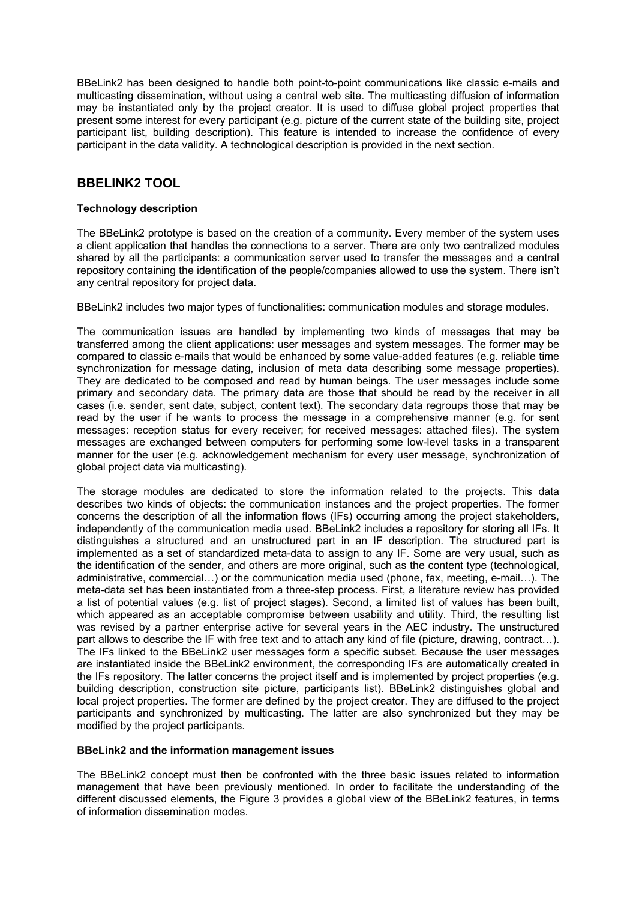BBeLink2 has been designed to handle both point-to-point communications like classic e-mails and multicasting dissemination, without using a central web site. The multicasting diffusion of information may be instantiated only by the project creator. It is used to diffuse global project properties that present some interest for every participant (e.g. picture of the current state of the building site, project participant list, building description). This feature is intended to increase the confidence of every participant in the data validity. A technological description is provided in the next section.

### **BBELINK2 TOOL**

#### **Technology description**

The BBeLink2 prototype is based on the creation of a community. Every member of the system uses a client application that handles the connections to a server. There are only two centralized modules shared by all the participants: a communication server used to transfer the messages and a central repository containing the identification of the people/companies allowed to use the system. There isn't any central repository for project data.

BBeLink2 includes two major types of functionalities: communication modules and storage modules.

The communication issues are handled by implementing two kinds of messages that may be transferred among the client applications: user messages and system messages. The former may be compared to classic e-mails that would be enhanced by some value-added features (e.g. reliable time synchronization for message dating, inclusion of meta data describing some message properties). They are dedicated to be composed and read by human beings. The user messages include some primary and secondary data. The primary data are those that should be read by the receiver in all cases (i.e. sender, sent date, subject, content text). The secondary data regroups those that may be read by the user if he wants to process the message in a comprehensive manner (e.g. for sent messages: reception status for every receiver; for received messages: attached files). The system messages are exchanged between computers for performing some low-level tasks in a transparent manner for the user (e.g. acknowledgement mechanism for every user message, synchronization of global project data via multicasting).

The storage modules are dedicated to store the information related to the projects. This data describes two kinds of objects: the communication instances and the project properties. The former concerns the description of all the information flows (IFs) occurring among the project stakeholders, independently of the communication media used. BBeLink2 includes a repository for storing all IFs. It distinguishes a structured and an unstructured part in an IF description. The structured part is implemented as a set of standardized meta-data to assign to any IF. Some are very usual, such as the identification of the sender, and others are more original, such as the content type (technological, administrative, commercial…) or the communication media used (phone, fax, meeting, e-mail…). The meta-data set has been instantiated from a three-step process. First, a literature review has provided a list of potential values (e.g. list of project stages). Second, a limited list of values has been built, which appeared as an acceptable compromise between usability and utility. Third, the resulting list was revised by a partner enterprise active for several years in the AEC industry. The unstructured part allows to describe the IF with free text and to attach any kind of file (picture, drawing, contract…). The IFs linked to the BBeLink2 user messages form a specific subset. Because the user messages are instantiated inside the BBeLink2 environment, the corresponding IFs are automatically created in the IFs repository. The latter concerns the project itself and is implemented by project properties (e.g. building description, construction site picture, participants list). BBeLink2 distinguishes global and local project properties. The former are defined by the project creator. They are diffused to the project participants and synchronized by multicasting. The latter are also synchronized but they may be modified by the project participants.

#### **BBeLink2 and the information management issues**

The BBeLink2 concept must then be confronted with the three basic issues related to information management that have been previously mentioned. In order to facilitate the understanding of the different discussed elements, the Figure 3 provides a global view of the BBeLink2 features, in terms of information dissemination modes.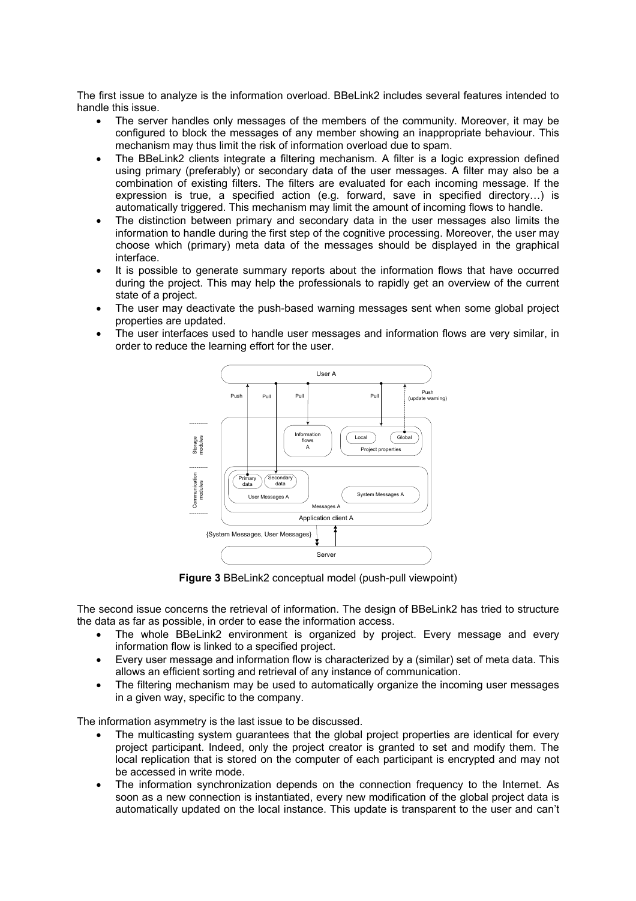The first issue to analyze is the information overload. BBeLink2 includes several features intended to handle this issue.

- The server handles only messages of the members of the community. Moreover, it may be configured to block the messages of any member showing an inappropriate behaviour. This mechanism may thus limit the risk of information overload due to spam.
- The BBeLink2 clients integrate a filtering mechanism. A filter is a logic expression defined using primary (preferably) or secondary data of the user messages. A filter may also be a combination of existing filters. The filters are evaluated for each incoming message. If the expression is true, a specified action (e.g. forward, save in specified directory…) is automatically triggered. This mechanism may limit the amount of incoming flows to handle.
- The distinction between primary and secondary data in the user messages also limits the information to handle during the first step of the cognitive processing. Moreover, the user may choose which (primary) meta data of the messages should be displayed in the graphical interface.
- It is possible to generate summary reports about the information flows that have occurred during the project. This may help the professionals to rapidly get an overview of the current state of a project.
- The user may deactivate the push-based warning messages sent when some global project properties are updated.
- The user interfaces used to handle user messages and information flows are very similar, in order to reduce the learning effort for the user.



**Figure 3** BBeLink2 conceptual model (push-pull viewpoint)

The second issue concerns the retrieval of information. The design of BBeLink2 has tried to structure the data as far as possible, in order to ease the information access.

- The whole BBeLink2 environment is organized by project. Every message and every information flow is linked to a specified project.
- Every user message and information flow is characterized by a (similar) set of meta data. This allows an efficient sorting and retrieval of any instance of communication.
- The filtering mechanism may be used to automatically organize the incoming user messages in a given way, specific to the company.

The information asymmetry is the last issue to be discussed.

- The multicasting system guarantees that the global project properties are identical for every project participant. Indeed, only the project creator is granted to set and modify them. The local replication that is stored on the computer of each participant is encrypted and may not be accessed in write mode.
- The information synchronization depends on the connection frequency to the Internet. As soon as a new connection is instantiated, every new modification of the global project data is automatically updated on the local instance. This update is transparent to the user and can't